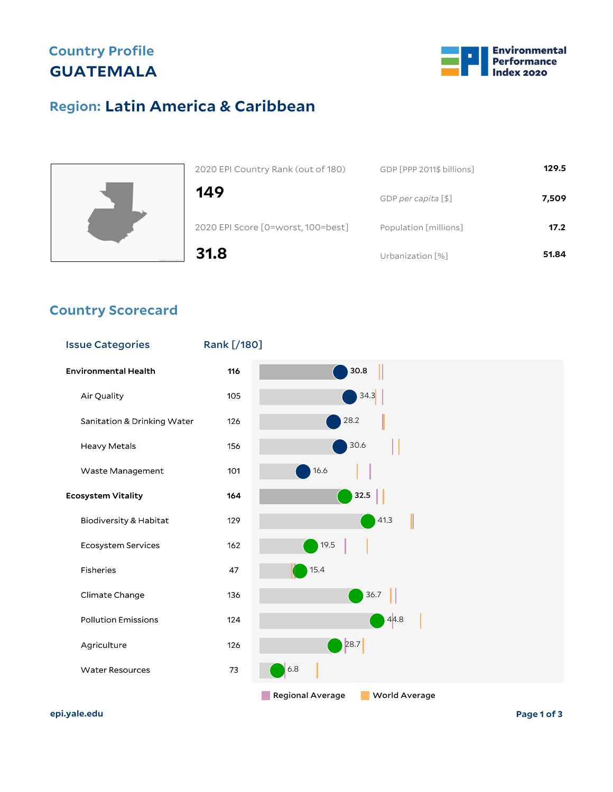## **Country Profile GUATEMALA**



## **Latin America & Caribbean Region:**



| 2020 EPI Country Rank (out of 180) | GDP [PPP 2011\$ billions] | 129.5 |
|------------------------------------|---------------------------|-------|
| 149                                | GDP per capita [\$]       | 7,509 |
| 2020 EPI Score [0=worst, 100=best] | Population [millions]     | 17.2  |
| 31.8                               | Urbanization [%]          | 51.84 |

### **Country Scorecard**

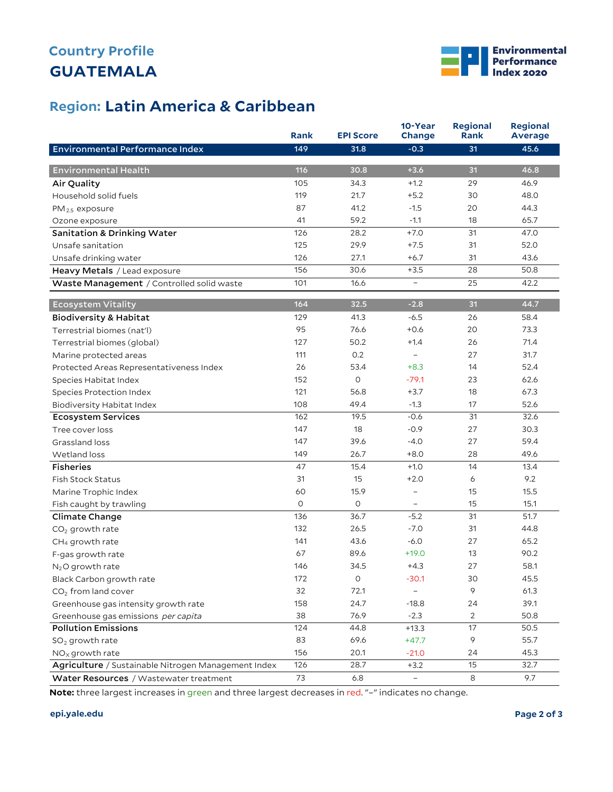# **GUATEMALA Country Profile**



### **Latin America & Caribbean Region:**

|                                                     | <b>Rank</b> | <b>EPI Score</b> | 10-Year<br>Change | <b>Regional</b><br><b>Rank</b> | <b>Regional</b><br><b>Average</b> |
|-----------------------------------------------------|-------------|------------------|-------------------|--------------------------------|-----------------------------------|
| <b>Environmental Performance Index</b>              | 149         | 31.8             | $-0.3$            | 31                             | 45.6                              |
|                                                     |             |                  |                   |                                |                                   |
| <b>Environmental Health</b>                         | 116         | 30.8             | $+3.6$            | 31                             | 46.8                              |
| Air Quality                                         | 105         | 34.3             | $+1.2$            | 29                             | 46.9                              |
| Household solid fuels                               | 119         | 21.7             | $+5.2$            | 30                             | 48.0                              |
| $PM_{2.5}$ exposure                                 | 87          | 41.2             | $-1.5$            | 20                             | 44.3                              |
| Ozone exposure                                      | 41          | 59.2             | $-1.1$            | 18                             | 65.7                              |
| <b>Sanitation &amp; Drinking Water</b>              | 126         | 28.2             | $+7.0$            | 31                             | 47.0                              |
| Unsafe sanitation                                   | 125         | 29.9             | $+7.5$            | 31                             | 52.0                              |
| Unsafe drinking water                               | 126         | 27.1             | $+6.7$            | 31                             | 43.6                              |
| Heavy Metals / Lead exposure                        | 156         | 30.6             | $+3.5$            | 28                             | 50.8                              |
| Waste Management / Controlled solid waste           | 101         | 16.6             | $\qquad \qquad -$ | 25                             | 42.2                              |
| Ecosystem Vitality                                  | 164         | 32.5             | $-2.8$            | 31                             | 44.7                              |
| <b>Biodiversity &amp; Habitat</b>                   | 129         | 41.3             | $-6.5$            | 26                             | 58.4                              |
| Terrestrial biomes (nat'l)                          | 95          | 76.6             | $+0.6$            | 20                             | 73.3                              |
| Terrestrial biomes (global)                         | 127         | 50.2             | $+1.4$            | 26                             | 71.4                              |
| Marine protected areas                              | 111         | 0.2              | $\equiv$          | 27                             | 31.7                              |
| Protected Areas Representativeness Index            | 26          | 53.4             | $+8.3$            | 14                             | 52.4                              |
| Species Habitat Index                               | 152         | $\circ$          | $-79.1$           | 23                             | 62.6                              |
| Species Protection Index                            | 121         | 56.8             | $+3.7$            | 18                             | 67.3                              |
| Biodiversity Habitat Index                          | 108         | 49.4             | $-1.3$            | 17                             | 52.6                              |
| <b>Ecosystem Services</b>                           | 162         | 19.5             | $-0.6$            | 31                             | 32.6                              |
| Tree cover loss                                     | 147         | 18               | $-0.9$            | 27                             | 30.3                              |
| Grassland loss                                      | 147         | 39.6             | $-4.0$            | 27                             | 59.4                              |
| Wetland loss                                        | 149         | 26.7             | $+8.0$            | 28                             | 49.6                              |
| <b>Fisheries</b>                                    | 47          | 15.4             | $+1.0$            | 14                             | 13.4                              |
| <b>Fish Stock Status</b>                            | 31          | 15               | $+2.0$            | 6                              | 9.2                               |
| Marine Trophic Index                                | 60          | 15.9             | $\qquad \qquad -$ | 15                             | 15.5                              |
| Fish caught by trawling                             | $\circ$     | $\mathsf O$      | -                 | 15                             | 15.1                              |
| Climate Change                                      | 136         | 36.7             | $-5.2$            | 31                             | 51.7                              |
| $CO2$ growth rate                                   | 132         | 26.5             | $-7.0$            | 31                             | 44.8                              |
| CH <sub>4</sub> growth rate                         | 141         | 43.6             | $-6.0$            | 27                             | 65.2                              |
| F-gas growth rate                                   | 67          | 89.6             | $+19.0$           | 13                             | 90.2                              |
| $N2O$ growth rate                                   | 146         | 34.5             | $+4.3$            | 27                             | 58.1                              |
| Black Carbon growth rate                            | 172         | $\mathsf O$      | $-30.1$           | 30                             | 45.5                              |
| CO <sub>2</sub> from land cover                     | 32          | 72.1             |                   | 9                              | 61.3                              |
| Greenhouse gas intensity growth rate                | 158         | 24.7             | $-18.8$           | 24                             | 39.1                              |
| Greenhouse gas emissions per capita                 | 38          | 76.9             | $-2.3$            | $\overline{2}$                 | 50.8                              |
| <b>Pollution Emissions</b>                          | 124         | 44.8             | $+13.3$           | 17                             | 50.5                              |
| $SO2$ growth rate                                   | 83          | 69.6             | $+47.7$           | 9                              | 55.7                              |
| $NOx$ growth rate                                   | 156         | 20.1             | $-21.0$           | 24                             | 45.3                              |
| Agriculture / Sustainable Nitrogen Management Index | 126         | 28.7             | $+3.2$            | 15                             | 32.7                              |
| Water Resources / Wastewater treatment              | 73          | 6.8              | $\equiv$          | 8                              | 9.7                               |

**Note:** three largest increases in green and three largest decreases in red. "–" indicates no change.

#### **epi.yale.edu Page 2 of 3**